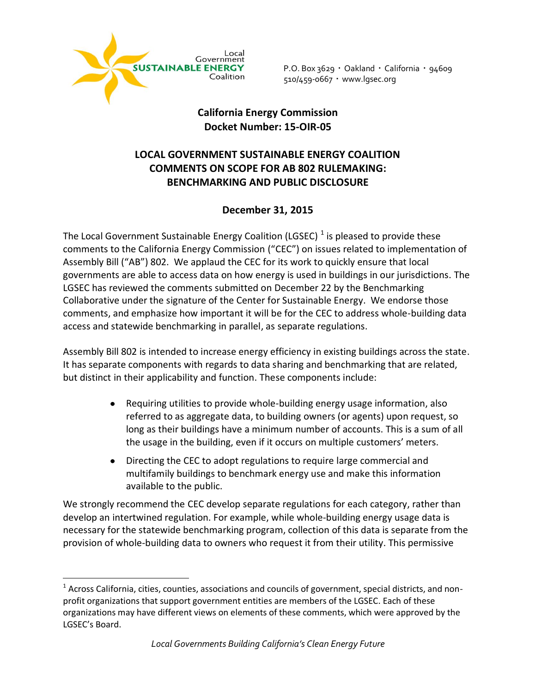

 $\overline{a}$ 

P.O. Box 3629 · Oakland · California · 94609 510/459-0667 www.lgsec.org

## **California Energy Commission Docket Number: 15‐OIR‐05**

## **LOCAL GOVERNMENT SUSTAINABLE ENERGY COALITION COMMENTS ON SCOPE FOR AB 802 RULEMAKING: BENCHMARKING AND PUBLIC DISCLOSURE**

## **December 31, 2015**

The Local Government Sustainable Energy Coalition (LGSEC)  $^1$  is pleased to provide these comments to the California Energy Commission ("CEC") on issues related to implementation of Assembly Bill ("AB") 802. We applaud the CEC for its work to quickly ensure that local governments are able to access data on how energy is used in buildings in our jurisdictions. The LGSEC has reviewed the comments submitted on December 22 by the Benchmarking Collaborative under the signature of the Center for Sustainable Energy. We endorse those comments, and emphasize how important it will be for the CEC to address whole-building data access and statewide benchmarking in parallel, as separate regulations.

Assembly Bill 802 is intended to increase energy efficiency in existing buildings across the state. It has separate components with regards to data sharing and benchmarking that are related, but distinct in their applicability and function. These components include:

- Requiring utilities to provide whole-building energy usage information, also  $\bullet$ referred to as aggregate data, to building owners (or agents) upon request, so long as their buildings have a minimum number of accounts. This is a sum of all the usage in the building, even if it occurs on multiple customers' meters.
- $\bullet$ Directing the CEC to adopt regulations to require large commercial and multifamily buildings to benchmark energy use and make this information available to the public.

We strongly recommend the CEC develop separate regulations for each category, rather than develop an intertwined regulation. For example, while whole-building energy usage data is necessary for the statewide benchmarking program, collection of this data is separate from the provision of whole-building data to owners who request it from their utility. This permissive

 $^1$  Across California, cities, counties, associations and councils of government, special districts, and nonprofit organizations that support government entities are members of the LGSEC. Each of these organizations may have different views on elements of these comments, which were approved by the LGSEC's Board.